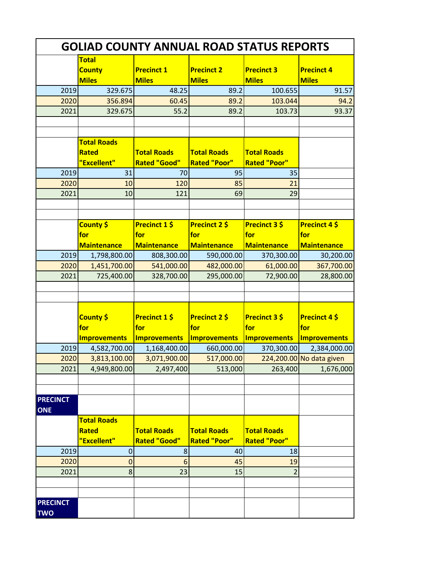| <b>GOLIAD COUNTY ANNUAL ROAD STATUS REPORTS</b> |                                               |                                             |                                           |                                             |                                             |  |  |  |
|-------------------------------------------------|-----------------------------------------------|---------------------------------------------|-------------------------------------------|---------------------------------------------|---------------------------------------------|--|--|--|
|                                                 | <b>Total</b><br><b>County</b><br><b>Miles</b> | <b>Precinct 1</b><br><b>Miles</b>           | <b>Precinct 2</b><br><b>Miles</b>         | <b>Precinct 3</b><br><b>Miles</b>           | <b>Precinct 4</b><br><b>Miles</b>           |  |  |  |
| 2019                                            | 329.675                                       | 48.25                                       | 89.2                                      | 100.655                                     | 91.57                                       |  |  |  |
| 2020                                            | 356.894                                       | 60.45                                       | 89.2                                      | 103.044                                     | 94.2                                        |  |  |  |
| 2021                                            | 329.675                                       | 55.2                                        | 89.2                                      | 103.73                                      | 93.37                                       |  |  |  |
|                                                 | <b>Total Roads</b>                            |                                             |                                           |                                             |                                             |  |  |  |
|                                                 | <b>Rated</b>                                  | <b>Total Roads</b>                          | <b>Total Roads</b>                        | <b>Total Roads</b>                          |                                             |  |  |  |
|                                                 | "Excellent"                                   | <b>Rated "Good"</b>                         | <b>Rated "Poor"</b><br>95                 | <b>Rated "Poor"</b>                         |                                             |  |  |  |
| 2019<br>2020                                    | 31<br>10                                      | 70<br>120                                   | 85                                        | 35                                          |                                             |  |  |  |
| 2021                                            | 10                                            | 121                                         | 69                                        | 21<br>29                                    |                                             |  |  |  |
|                                                 |                                               |                                             |                                           |                                             |                                             |  |  |  |
|                                                 |                                               |                                             |                                           |                                             |                                             |  |  |  |
|                                                 | County \$<br>for                              | <b>Precinct 1 \$</b><br>for                 | <b>Precinct 2 \$</b><br>for               | <b>Precinct 3 \$</b><br>for                 | Precinct 4\$<br>for                         |  |  |  |
|                                                 | <b>Maintenance</b>                            | <b>Maintenance</b>                          | <b>Maintenance</b>                        | <b>Maintenance</b>                          | <b>Maintenance</b>                          |  |  |  |
| 2019                                            | 1,798,800.00                                  | 808,300.00                                  | 590,000.00                                | 370,300.00                                  | 30,200.00                                   |  |  |  |
| 2020                                            | 1,451,700.00                                  | 541,000.00                                  | 482,000.00                                | 61,000.00                                   | 367,700.00                                  |  |  |  |
| 2021                                            | 725,400.00                                    | 328,700.00                                  | 295,000.00                                | 72,900.00                                   | 28,800.00                                   |  |  |  |
|                                                 |                                               |                                             |                                           |                                             |                                             |  |  |  |
|                                                 | County \$<br>for<br><b>Improvements</b>       | <b>Precinct 1 \$</b><br>for<br>Improvements | Precinct 2 \$<br>for<br>Improvements      | <b>Precinct 3 \$</b><br>for<br>Improvements | <b>Precinct 4 \$</b><br>for<br>Improvements |  |  |  |
| 2019                                            | 4,582,700.00                                  | 1,168,400.00                                | 660,000.00                                | 370,300.00                                  | 2,384,000.00                                |  |  |  |
| 2020                                            | 3,813,100.00                                  | 3,071,900.00                                | 517,000.00                                |                                             | 224,200.00 No data given                    |  |  |  |
| 2021                                            | 4,949,800.00                                  | 2,497,400                                   | 513,000                                   | 263,400                                     | 1,676,000                                   |  |  |  |
|                                                 |                                               |                                             |                                           |                                             |                                             |  |  |  |
| <b>PRECINCT</b><br><b>ONE</b>                   |                                               |                                             |                                           |                                             |                                             |  |  |  |
|                                                 | <b>Total Roads</b>                            |                                             |                                           |                                             |                                             |  |  |  |
|                                                 | <b>Rated</b><br>"Excellent"                   | <b>Total Roads</b><br><b>Rated "Good"</b>   | <b>Total Roads</b><br><b>Rated "Poor"</b> | <b>Total Roads</b><br><b>Rated "Poor"</b>   |                                             |  |  |  |
| 2019                                            | $\mathbf 0$                                   | $\bf 8$                                     | 40                                        | 18                                          |                                             |  |  |  |
| 2020                                            | $\mathbf 0$                                   | 6                                           | 45                                        | 19                                          |                                             |  |  |  |
| 2021                                            | 8                                             | 23                                          | 15                                        | $\overline{2}$                              |                                             |  |  |  |
|                                                 |                                               |                                             |                                           |                                             |                                             |  |  |  |
|                                                 |                                               |                                             |                                           |                                             |                                             |  |  |  |
| <b>PRECINCT</b><br><b>TWO</b>                   |                                               |                                             |                                           |                                             |                                             |  |  |  |